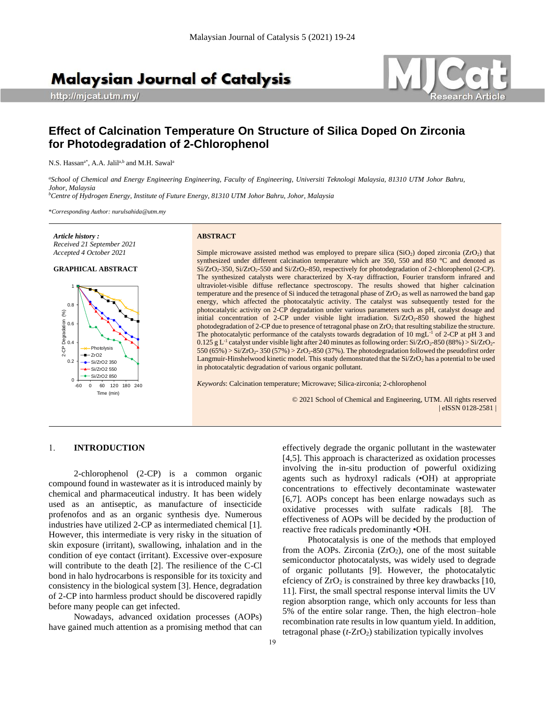# **Malaysian Journal of Catalysis**

http://mjcat.utm.my/



# **Effect of Calcination Temperature On Structure of Silica Doped On Zirconia for Photodegradation of 2-Chlorophenol**

N.S. Hassan<sup>a\*</sup>, A.A. Jalil<sup>a,b</sup> and M.H. Sawal<sup>a</sup>

*<sup>a</sup>School of Chemical and Energy Engineering Engineering, Faculty of Engineering, Universiti Teknologi Malaysia, 81310 UTM Johor Bahru, Johor, Malaysia*

*<sup>b</sup>Centre of Hydrogen Energy, Institute of Future Energy, 81310 UTM Johor Bahru, Johor, Malaysia*

\**Corresponding Author: nurulsahida@utm.my*

*Article history : Received 21 September 2021 Accepted 4 October 2021*

#### **GRAPHICAL ABSTRACT**



#### **ABSTRACT**

Simple microwave assisted method was employed to prepare silica ( $SiO<sub>2</sub>$ ) doped zirconia ( $ZrO<sub>2</sub>$ ) that synthesized under different calcination temperature which are 350, 550 and 850 °C and denoted as Si/ZrO<sub>2</sub>-350, Si/ZrO<sub>2</sub>-550 and Si/ZrO<sub>2</sub>-850, respectively for photodegradation of 2-chlorophenol (2-CP). The synthesized catalysts were characterized by X-ray diffraction, Fourier transform infrared and ultraviolet-visible diffuse reflectance spectroscopy. The results showed that higher calcination temperature and the presence of Si induced the tetragonal phase of  $ZrO<sub>2</sub>$  as well as narrowed the band gap energy, which affected the photocatalytic activity. The catalyst was subsequently tested for the photocatalytic activity on 2-CP degradation under various parameters such as pH, catalyst dosage and initial concentration of 2-CP under visible light irradiation.  $Si/ZrO<sub>2</sub>-850$  showed the highest photodegradation of 2-CP due to presence of tetragonal phase on ZrO<sub>2</sub> that resulting stabilize the structure. The photocatalytic performance of the catalysts towards degradation of 10 mgL $^{-1}$  of 2-CP at pH 3 and 0.125 g L<sup>-1</sup> catalyst under visible light after 240 minutes as following order: Si/ZrO<sub>2</sub>-850 (88%) > Si/ZrO<sub>2</sub>- $550 (65%) > Si/ZrO<sub>2</sub> - 350 (57%) > ZrO<sub>2</sub> - 850 (37%)$ . The photodegradation followed the pseudofirst order Langmuir-Hinshelwood kinetic model. This study demonstrated that the  $Si/ZrO<sub>2</sub>$  has a potential to be used in photocatalytic degradation of various organic pollutant.

*Keywords*: Calcination temperature; Microwave; Silica-zirconia; 2-chlorophenol

© 2021 School of Chemical and Engineering, UTM. All rights reserved | eISSN 0128-2581 |

#### 1. **INTRODUCTION**

2-chlorophenol (2-CP) is a common organic compound found in wastewater as it is introduced mainly by chemical and pharmaceutical industry. It has been widely used as an antiseptic, as manufacture of insecticide profenofos and as an organic synthesis dye. Numerous industries have utilized 2-CP as intermediated chemical [1]. However, this intermediate is very risky in the situation of skin exposure (irritant), swallowing, inhalation and in the condition of eye contact (irritant). Excessive over-exposure will contribute to the death [2]. The resilience of the C-Cl bond in halo hydrocarbons is responsible for its toxicity and consistency in the biological system [3]. Hence, degradation of 2-CP into harmless product should be discovered rapidly before many people can get infected.

Nowadays, advanced oxidation processes (AOPs) have gained much attention as a promising method that can

effectively degrade the organic pollutant in the wastewater [4,5]. This approach is characterized as oxidation processes involving the in-situ production of powerful oxidizing agents such as hydroxyl radicals (•OH) at appropriate concentrations to effectively decontaminate wastewater [6,7]. AOPs concept has been enlarge nowadays such as oxidative processes with sulfate radicals [8]. The effectiveness of AOPs will be decided by the production of reactive free radicals predominantly •OH.

Photocatalysis is one of the methods that employed from the AOPs. Zirconia  $(ZrO<sub>2</sub>)$ , one of the most suitable semiconductor photocatalysts, was widely used to degrade of organic pollutants [9]. However, the photocatalytic efciency of  $ZrO<sub>2</sub>$  is constrained by three key drawbacks [10, 11]. First, the small spectral response interval limits the UV region absorption range, which only accounts for less than 5% of the entire solar range. Then, the high electron–hole recombination rate results in low quantum yield. In addition, tetragonal phase  $(t$ - $ZrO<sub>2</sub>)$  stabilization typically involves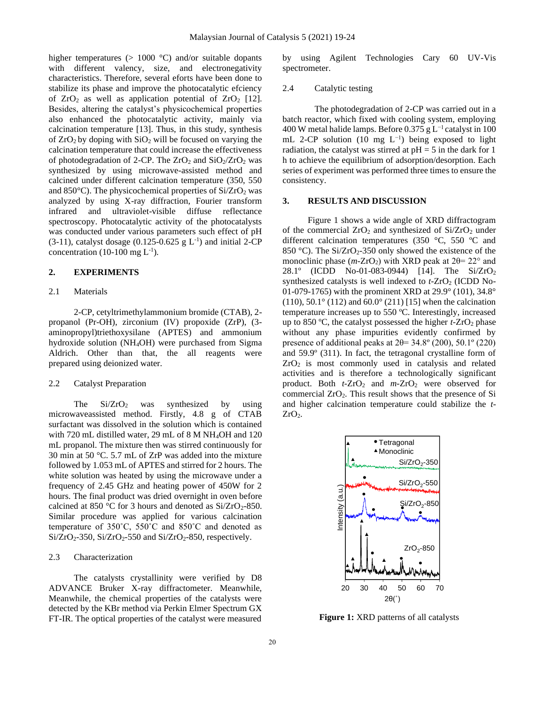higher temperatures (> 1000 °C) and/or suitable dopants with different valency, size, and electronegativity characteristics. Therefore, several eforts have been done to stabilize its phase and improve the photocatalytic efciency of  $ZrO<sub>2</sub>$  as well as application potential of  $ZrO<sub>2</sub>$  [12]. Besides, altering the catalyst's physicochemical properties also enhanced the photocatalytic activity, mainly via calcination temperature [13]. Thus, in this study, synthesis of  $ZrO<sub>2</sub>$  by doping with  $SiO<sub>2</sub>$  will be focused on varying the calcination temperature that could increase the effectiveness of photodegradation of 2-CP. The  $ZrO_2$  and  $SiO_2/ZrO_2$  was synthesized by using microwave-assisted method and calcined under different calcination temperature (350, 550 and  $850^{\circ}$ C). The physicochemical properties of Si/ZrO<sub>2</sub> was analyzed by using X-ray diffraction, Fourier transform infrared and ultraviolet-visible diffuse reflectance spectroscopy. Photocatalytic activity of the photocatalysts was conducted under various parameters such effect of pH  $(3-11)$ , catalyst dosage  $(0.125-0.625 \text{ g L}^{-1})$  and initial 2-CP concentration (10-100 mg  $L^{-1}$ ).

#### **2. EXPERIMENTS**

# 2.1 Materials

2-CP, cetyltrimethylammonium bromide (CTAB), 2 propanol (Pr-OH), zirconium (IV) propoxide (ZrP), (3 aminopropyl)triethoxysilane (APTES) and ammonium hydroxide solution (NH4OH) were purchased from Sigma Aldrich. Other than that, the all reagents were prepared using deionized water.

#### 2.2 Catalyst Preparation

The  $Si/ZrO<sub>2</sub>$  was synthesized by using microwaveassisted method. Firstly, 4.8 g of CTAB surfactant was dissolved in the solution which is contained with 720 mL distilled water, 29 mL of 8 M NH4OH and 120 mL propanol. The mixture then was stirred continuously for 30 min at 50 °C. 5.7 mL of ZrP was added into the mixture followed by 1.053 mL of APTES and stirred for 2 hours. The white solution was heated by using the microwave under a frequency of 2.45 GHz and heating power of 450W for 2 hours. The final product was dried overnight in oven before calcined at 850 °C for 3 hours and denoted as  $Si/ZrO<sub>2</sub>$ -850. Similar procedure was applied for various calcination temperature of 350˚C, 550˚C and 850˚C and denoted as  $Si/ZrO<sub>2</sub>-350$ ,  $Si/ZrO<sub>2</sub>-550$  and  $Si/ZrO<sub>2</sub>-850$ , respectively.

#### 2.3 Characterization

The catalysts crystallinity were verified by D8 ADVANCE Bruker X-ray diffractometer. Meanwhile, Meanwhile, the chemical properties of the catalysts were detected by the KBr method via Perkin Elmer Spectrum GX FT-IR. The optical properties of the catalyst were measured

by using Agilent Technologies Cary 60 UV-Vis spectrometer.

#### 2.4 Catalytic testing

The photodegradation of 2-CP was carried out in a batch reactor, which fixed with cooling system, employing 400 W metal halide lamps. Before 0.375 g L<sup>-1</sup> catalyst in 100 mL 2-CP solution (10 mg  $L^{-1}$ ) being exposed to light radiation, the catalyst was stirred at  $pH = 5$  in the dark for 1 h to achieve the equilibrium of adsorption/desorption. Each series of experiment was performed three times to ensure the consistency.

# **3. RESULTS AND DISCUSSION**

Figure 1 shows a wide angle of XRD diffractogram of the commercial  $ZrO<sub>2</sub>$  and synthesized of  $Si/ZrO<sub>2</sub>$  under different calcination temperatures (350 °C, 550 ºC and 850 °C). The Si/ZrO<sub>2</sub>-350 only showed the existence of the monoclinic phase  $(m-ZrO<sub>2</sub>)$  with XRD peak at  $2\theta = 22^{\circ}$  and 28.1° (ICDD No-01-083-0944) [14]. The Si/ZrO<sub>2</sub> synthesized catalysts is well indexed to *t*-ZrO<sub>2</sub> (ICDD No-01-079-1765) with the prominent XRD at 29.9° (101), 34.8° (110), 50.1 $\degree$  (112) and 60.0 $\degree$  (211) [15] when the calcination temperature increases up to 550 ºC. Interestingly, increased up to 850 °C, the catalyst possessed the higher *t*-ZrO<sub>2</sub> phase without any phase impurities evidently confirmed by presence of additional peaks at  $2\theta$ = 34.8° (200), 50.1° (220) and 59.9º (311). In fact, the tetragonal crystalline form of  $ZrO<sub>2</sub>$  is most commonly used in catalysis and related activities and is therefore a technologically significant product. Both  $t$ -ZrO<sub>2</sub> and  $m$ -ZrO<sub>2</sub> were observed for commercial ZrO2. This result shows that the presence of Si and higher calcination temperature could stabilize the *t*- $ZrO<sub>2</sub>$ .



**Figure 1:** XRD patterns of all catalysts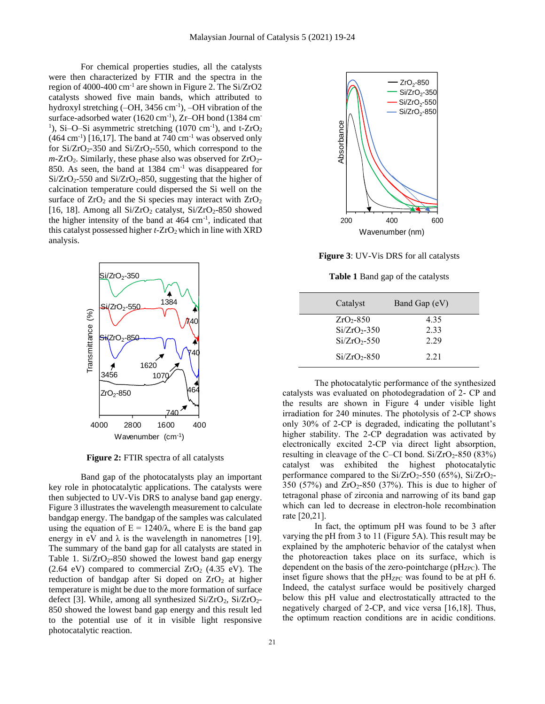For chemical properties studies, all the catalysts were then characterized by FTIR and the spectra in the region of 4000-400 cm-1 are shown in Figure 2. The Si/ZrO2 catalysts showed five main bands, which attributed to hydroxyl stretching  $(-OH, 3456 \text{ cm}^{-1})$ ,  $-OH$  vibration of the surface-adsorbed water (1620 cm<sup>-1</sup>), Zr-OH bond (1384 cm<sup>-</sup> <sup>1</sup>), Si-O-Si asymmetric stretching (1070 cm<sup>-1</sup>), and t-ZrO<sub>2</sub>  $(464 \text{ cm}^{-1})$  [16,17]. The band at 740 cm<sup>-1</sup> was observed only for  $Si/ZrO<sub>2</sub>-350$  and  $Si/ZrO<sub>2</sub>-550$ , which correspond to the  $m$ -ZrO<sub>2</sub>. Similarly, these phase also was observed for ZrO<sub>2</sub>-850. As seen, the band at 1384 cm<sup>-1</sup> was disappeared for  $Si/ZrO<sub>2</sub>-550$  and  $Si/ZrO<sub>2</sub>-850$ , suggesting that the higher of calcination temperature could dispersed the Si well on the surface of  $ZrO<sub>2</sub>$  and the Si species may interact with  $ZrO<sub>2</sub>$ [16, 18]. Among all  $Si/ZrO<sub>2</sub>$  catalyst,  $Si/ZrO<sub>2</sub>-850$  showed the higher intensity of the band at  $464 \text{ cm}^{-1}$ , indicated that this catalyst possessed higher *t*-ZrO<sub>2</sub> which in line with XRD analysis.



**Figure 2:** FTIR spectra of all catalysts

Band gap of the photocatalysts play an important key role in photocatalytic applications. The catalysts were then subjected to UV-Vis DRS to analyse band gap energy. Figure 3 illustrates the wavelength measurement to calculate bandgap energy. The bandgap of the samples was calculated using the equation of  $E = 1240/\lambda$ , where E is the band gap energy in eV and  $\lambda$  is the wavelength in nanometres [19]. The summary of the band gap for all catalysts are stated in Table 1.  $Si/ZrO<sub>2</sub> - 850$  showed the lowest band gap energy  $(2.64 \text{ eV})$  compared to commercial  $ZrO<sub>2</sub>$  (4.35 eV). The reduction of bandgap after Si doped on  $ZrO<sub>2</sub>$  at higher temperature is might be due to the more formation of surface defect [3]. While, among all synthesized  $Si/ZrO<sub>2</sub>$ ,  $Si/ZrO<sub>2</sub>$ -850 showed the lowest band gap energy and this result led to the potential use of it in visible light responsive photocatalytic reaction.



**Figure 3**: UV-Vis DRS for all catalysts

**Table 1** Band gap of the catalysts

| Catalyst        | Band Gap (eV) |
|-----------------|---------------|
| $ZrO_{2} - 850$ | 4.35          |
| $Si/ZrO2-350$   | 2.33          |
| $Si/ZrO2 - 550$ | 2.29          |
| $Si/ZrO2-850$   | 2.21          |

The photocatalytic performance of the synthesized catalysts was evaluated on photodegradation of 2- CP and the results are shown in Figure 4 under visible light irradiation for 240 minutes. The photolysis of 2-CP shows only 30% of 2-CP is degraded, indicating the pollutant's higher stability. The 2-CP degradation was activated by electronically excited 2-CP via direct light absorption, resulting in cleavage of the C–CI bond.  $Si/ZrO<sub>2</sub>-850$  (83%) catalyst was exhibited the highest photocatalytic performance compared to the  $Si/ZrO<sub>2</sub>-550$  (65%),  $Si/ZrO<sub>2</sub>-$ 350 (57%) and  $ZrO_2$ -850 (37%). This is due to higher of tetragonal phase of zirconia and narrowing of its band gap which can led to decrease in electron-hole recombination rate [20,21].

In fact, the optimum pH was found to be 3 after varying the pH from 3 to 11 (Figure 5A). This result may be explained by the amphoteric behavior of the catalyst when the photoreaction takes place on its surface, which is dependent on the basis of the zero-pointcharge ( $pH_{ZPC}$ ). The inset figure shows that the  $pH_{ZPC}$  was found to be at  $pH$  6. Indeed, the catalyst surface would be positively charged below this pH value and electrostatically attracted to the negatively charged of 2-CP, and vice versa [16,18]. Thus, the optimum reaction conditions are in acidic conditions.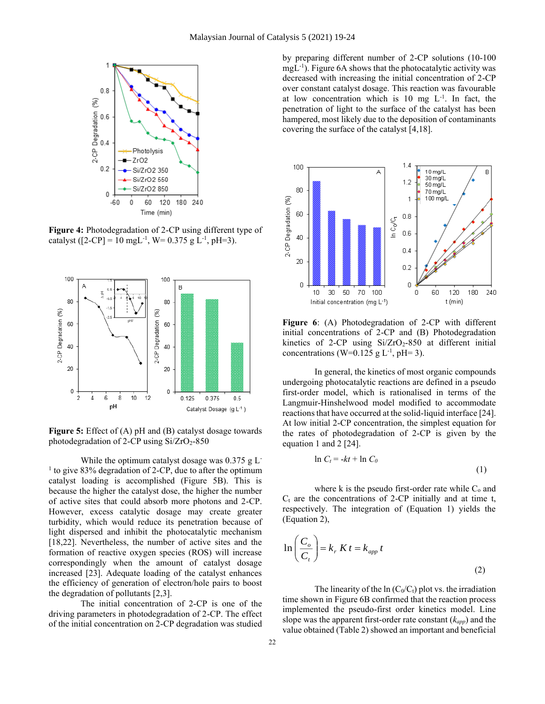

**Figure 4:** Photodegradation of 2-CP using different type of catalyst ([2-CP] = 10 mgL<sup>-1</sup>, W= 0.375 g L<sup>-1</sup>, pH=3).



**Figure 5:** Effect of (A) pH and (B) catalyst dosage towards photodegradation of 2-CP using  $Si/ZrO<sub>2</sub>-850$ 

While the optimum catalyst dosage was 0.375 g L<sup>-</sup> <sup>1</sup> to give 83% degradation of 2-CP, due to after the optimum catalyst loading is accomplished (Figure 5B). This is because the higher the catalyst dose, the higher the number of active sites that could absorb more photons and 2-CP. However, excess catalytic dosage may create greater turbidity, which would reduce its penetration because of light dispersed and inhibit the photocatalytic mechanism [18,22]. Nevertheless, the number of active sites and the formation of reactive oxygen species (ROS) will increase correspondingly when the amount of catalyst dosage increased [23]. Adequate loading of the catalyst enhances the efficiency of generation of electron/hole pairs to boost the degradation of pollutants [2,3].

The initial concentration of 2-CP is one of the driving parameters in photodegradation of 2-CP. The effect of the initial concentration on 2-CP degradation was studied by preparing different number of 2-CP solutions (10-100 mgL-1 ). Figure 6A shows that the photocatalytic activity was decreased with increasing the initial concentration of 2-CP over constant catalyst dosage. This reaction was favourable at low concentration which is  $10$  mg  $L^{-1}$ . In fact, the penetration of light to the surface of the catalyst has been hampered, most likely due to the deposition of contaminants covering the surface of the catalyst [4,18].



**Figure 6**: (A) Photodegradation of 2-CP with different initial concentrations of 2-CP and (B) Photodegradation kinetics of 2-CP using  $Si/ZrO<sub>2</sub>-850$  at different initial concentrations (W=0.125 g  $L^{-1}$ , pH= 3).

In general, the kinetics of most organic compounds undergoing photocatalytic reactions are defined in a pseudo first-order model, which is rationalised in terms of the Langmuir-Hinshelwood model modified to accommodate reactions that have occurred at the solid-liquid interface [24]. At low initial 2-CP concentration, the simplest equation for the rates of photodegradation of 2-CP is given by the equation 1 and 2 [24].

$$
\ln C_t = -kt + \ln C_0 \tag{1}
$$

where  $k$  is the pseudo first-order rate while  $C_0$  and  $C_t$  are the concentrations of 2-CP initially and at time t, respectively. The integration of (Equation 1) yields the (Equation 2),

$$
\ln\left(\frac{C_o}{C_t}\right) = k_r K t = k_{app} t
$$
\n(2)

The linearity of the  $\ln(C_0/C_t)$  plot vs. the irradiation time shown in Figure 6B confirmed that the reaction process implemented the pseudo-first order kinetics model. Line slope was the apparent first-order rate constant (*kapp*) and the value obtained (Table 2) showed an important and beneficial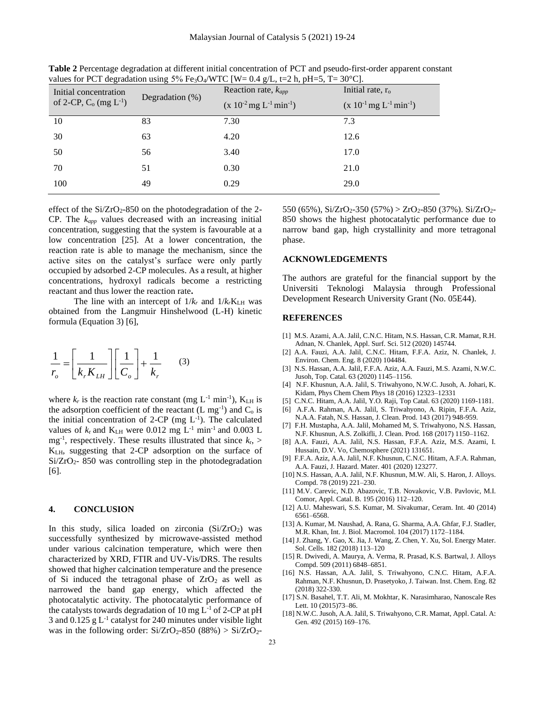| Initial concentration<br>of 2-CP, $C_0$ (mg $L^{-1}$ ) | Reaction rate, $k_{app}$         | Initial rate, r <sub>o</sub>                                                                                 |
|--------------------------------------------------------|----------------------------------|--------------------------------------------------------------------------------------------------------------|
|                                                        | $(x 10^{-2} mg L^{-1} min^{-1})$ | $(x 10^{-1} mg L^{-1} min^{-1})$                                                                             |
| 83                                                     | 7.30                             | 7.3                                                                                                          |
| 63                                                     | 4.20                             | 12.6                                                                                                         |
| 56                                                     | 3.40                             | 17.0                                                                                                         |
| 51                                                     | 0.30                             | 21.0                                                                                                         |
| 49                                                     | 0.29                             | 29.0                                                                                                         |
|                                                        | Degradation $(\%)$               | various for 1 C F degradation asing 370 Festo 4.1 C   $W = 0.7$ g/L, $E = 0.1$ , $pH = 0.1$ , $F = 0.0$ C  . |

**Table 2** Percentage degradation at different initial concentration of PCT and pseudo-first-order apparent constant values for PCT degradation using 5% Fe<sub>3</sub>O<sub>4</sub>/WTC [W= 0.4 g/L, t=2 h, pH=5, T= 30<sup>o</sup>C].

effect of the  $Si/ZrO<sub>2</sub>-850$  on the photodegradation of the 2-CP. The *kapp* values decreased with an increasing initial concentration, suggesting that the system is favourable at a low concentration [25]. At a lower concentration, the reaction rate is able to manage the mechanism, since the active sites on the catalyst's surface were only partly occupied by adsorbed 2-CP molecules. As a result, at higher concentrations, hydroxyl radicals become a restricting reactant and thus lower the reaction rate**.**

The line with an intercept of  $1/k_r$  and  $1/k_rK_{LH}$  was obtained from the Langmuir Hinshelwood (L-H) kinetic formula (Equation 3) [6],

$$
\frac{1}{r_o} = \left[\frac{1}{k_r K_{LH}}\right] \left[\frac{1}{C_o}\right] + \frac{1}{k_r}
$$
 (3)

where  $k_r$  is the reaction rate constant (mg  $L^{-1}$  min<sup>-1</sup>),  $K_{LH}$  is the adsorption coefficient of the reactant  $(L mg^{-1})$  and  $C_0$  is the initial concentration of 2-CP (mg  $L^{-1}$ ). The calculated values of  $k_r$  and  $K_{LH}$  were 0.012 mg  $L^{-1}$  min<sup>-1</sup> and 0.003 L mg<sup>-1</sup>, respectively. These results illustrated that since  $k_r$ , > KLH, suggesting that 2-CP adsorption on the surface of  $Si/ZrO<sub>2</sub>$ - 850 was controlling step in the photodegradation [6].

## **4. CONCLUSION**

In this study, silica loaded on zirconia  $(SiZrO<sub>2</sub>)$  was successfully synthesized by microwave-assisted method under various calcination temperature, which were then characterized by XRD, FTIR and UV-Vis/DRS. The results showed that higher calcination temperature and the presence of Si induced the tetragonal phase of  $ZrO<sub>2</sub>$  as well as narrowed the band gap energy, which affected the photocatalytic activity. The photocatalytic performance of the catalysts towards degradation of 10 mg  $L^{-1}$  of 2-CP at pH 3 and  $0.125$  g  $L^{-1}$  catalyst for 240 minutes under visible light was in the following order:  $Si/ZrO<sub>2</sub>-850$  (88%) >  $Si/ZrO<sub>2</sub>-$ 

550 (65%), Si/ZrO<sub>2</sub>-350 (57%) > ZrO<sub>2</sub>-850 (37%). Si/ZrO<sub>2</sub>-850 shows the highest photocatalytic performance due to narrow band gap, high crystallinity and more tetragonal phase.

### **ACKNOWLEDGEMENTS**

The authors are grateful for the financial support by the Universiti Teknologi Malaysia through Professional Development Research University Grant (No. 05E44).

#### **REFERENCES**

- [1] M.S. Azami, A.A. Jalil, C.N.C. Hitam, N.S. Hassan, C.R. Mamat, R.H. Adnan, N. Chanlek, Appl. Surf. Sci. 512 (2020) 145744.
- [2] A.A. Fauzi, A.A. Jalil, C.N.C. Hitam, F.F.A. Aziz, N. Chanlek, J. Environ. Chem. Eng. 8 (2020) 104484.
- [3] N.S. Hassan, A.A. Jalil, F.F.A. Aziz, A.A. Fauzi, M.S. Azami, N.W.C. Jusoh, Top. Catal. 63 (2020) 1145–1156.
- [4] N.F. Khusnun, A.A. Jalil, S. Triwahyono, N.W.C. Jusoh, A. Johari, K. Kidam, Phys Chem Chem Phys 18 (2016) 12323–12331
- [5] C.N.C. Hitam, A.A. Jalil, Y.O. Raji, Top Catal. 63 (2020) 1169-1181.
- [6] A.F.A. Rahman, A.A. Jalil, S. Triwahyono, A. Ripin, F.F.A. Aziz, N.A.A. Fatah, N.S. Hassan, J. Clean. Prod. 143 (2017) 948-959.
- [7] F.H. Mustapha, A.A. Jalil, Mohamed M, S. Triwahyono, N.S. Hassan, N.F. Khusnun, A.S. Zolkifli, J. Clean. Prod. 168 (2017) 1150–1162.
- [8] A.A. Fauzi, A.A. Jalil, N.S. Hassan, F.F.A. Aziz, M.S. Azami, I. Hussain, D.V. Vo, Chemosphere (2021) 131651.
- [9] F.F.A. Aziz, A.A. Jalil, N.F. Khusnun, C.N.C. Hitam, A.F.A. Rahman, A.A. Fauzi, J. Hazard. Mater. 401 (2020) 123277.
- [10] N.S. Hassan, A.A. Jalil, N.F. Khusnun, M.W. Ali, S. Haron, J. Alloys. Compd. 78 (2019) 221–230.
- [11] M.V. Carevic, N.D. Abazovic, T.B. Novakovic, V.B. Pavlovic, M.I. Comor, Appl. Catal. B. 195 (2016) 112–120.
- [12] A.U. Maheswari, S.S. Kumar, M. Sivakumar, Ceram. Int. 40 (2014) 6561–6568.
- [13] A. Kumar, M. Naushad, A. Rana, G. Sharma, A.A. Ghfar, F.J. Stadler, M.R. Khan, Int. J. Biol. Macromol. 104 (2017) 1172–1184.
- [14] J. Zhang, Y. Gao, X. Jia, J. Wang, Z. Chen, Y. Xu, Sol. Energy Mater. Sol. Cells. 182 (2018) 113–120
- [15] R. Dwivedi, A. Maurya, A. Verma, R. Prasad, K.S. Bartwal, J. Alloys Compd. 509 (2011) 6848–6851.
- [16] N.S. Hassan, A.A. Jalil, S. Triwahyono, C.N.C. Hitam, A.F.A. Rahman, N.F. Khusnun, D. Prasetyoko, J. Taiwan. Inst. Chem. Eng. 82 (2018) 322-330.
- [17] S.N. Basahel, T.T. Ali, M. Mokhtar, K. Narasimharao, Nanoscale Res Lett. 10 (2015)73–86.
- [18] N.W.C. Jusoh, A.A. Jalil, S. Triwahyono, C.R. Mamat, Appl. Catal. A: Gen. 492 (2015) 169–176.